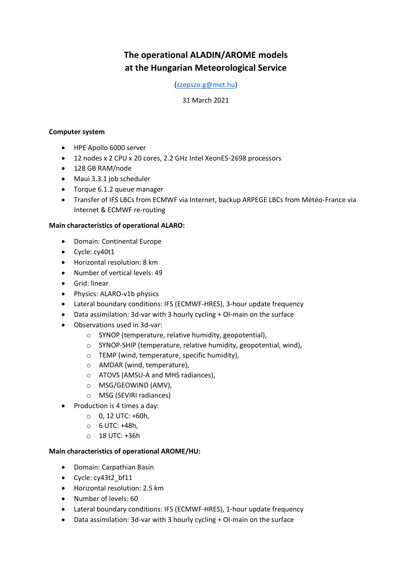# **The operational ALADIN/AROME models at the Hungarian Meteorological Service**

### [\(szepszo.g@met.hu\)](mailto:szepszo.g@met.hu)

#### 31 March 2021

### **Computer system**

- HPE Apollo 6000 server
- 12 nodes x 2 CPU x 20 cores, 2.2 GHz Intel XeonE5-2698 processors
- 128 GB RAM/node
- Maui 3.3.1 job scheduler
- Torque 6.1.2 queue manager
- Transfer of IFS LBCs from ECMWF via Internet, backup ARPEGE LBCs from Météo-France via Internet & ECMWF re-routing

#### **Main characteristics of operational ALARO:**

- Domain: Continental Europe
- Cycle: cy40t1
- Horizontal resolution: 8 km
- Number of vertical levels: 49
- **•** Grid: linear
- Physics: ALARO-v1b physics
- Lateral boundary conditions: IFS (ECMWF-HRES), 3-hour update frequency
- Data assimilation: 3d-var with 3 hourly cycling + OI-main on the surface
- Observations used in 3d-var:
	- o SYNOP (temperature, relative humidity, geopotential),
	- o SYNOP-SHIP (temperature, relative humidity, geopotential, wind),
	- o TEMP (wind, temperature, specific humidity),
	- o AMDAR (wind, temperature),
	- o ATOVS (AMSU-A and MHS radiances),
	- o MSG/GEOWIND (AMV),
	- o MSG (SEVIRI radiances)
- Production is 4 times a day:
	- $0, 12$  UTC: +60h,
	- o 6 UTC: +48h,
	- o 18 UTC: +36h

## **Main characteristics of operational AROME/HU:**

- Domain: Carpathian Basin
- Cycle: cy43t2 bf11
- Horizontal resolution: 2.5 km
- Number of levels: 60
- Lateral boundary conditions: IFS (ECMWF-HRES), 1-hour update frequency
- Data assimilation: 3d-var with 3 hourly cycling + OI-main on the surface